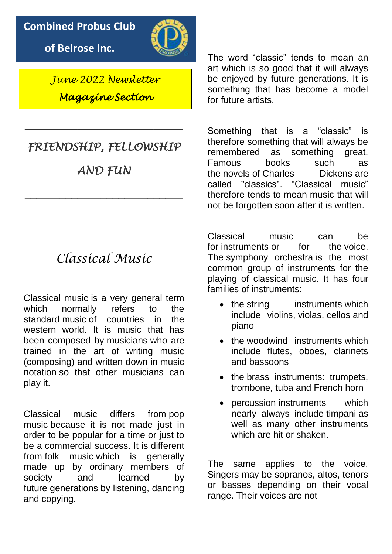## **Combined Probus Club**

**of Belrose Inc.**



*June 2022 Newsletter Magazine Section* 

# *FRIENDSHIP, FELLOWSHIP*

\_\_\_\_\_\_\_\_\_\_\_\_\_\_\_\_\_\_\_\_\_\_\_\_\_\_\_

*AND FUN* 

\_\_\_\_\_\_\_\_\_\_\_\_\_\_\_\_\_\_\_\_\_\_\_\_\_\_\_

# *Classical Music*

Classical music is a very general term which normally refers to the standard [music](https://simple.wikipedia.org/wiki/Music) of countries in the western world. It is music that has been composed by [musicians](https://simple.wikipedia.org/wiki/Musician) who are trained in the art of writing music [\(composing\)](https://simple.wikipedia.org/wiki/Composition_(music)) and written down in [music](https://simple.wikipedia.org/wiki/Music_notation)  [notation](https://simple.wikipedia.org/wiki/Music_notation) so that other musicians can play it.

Classical music differs from [pop](https://simple.wikipedia.org/wiki/Pop_music)  [music](https://simple.wikipedia.org/wiki/Pop_music) because it is not made just in order to be popular for a time or just to be a commercial success. It is different from [folk music](https://simple.wikipedia.org/wiki/Folk_music) which is generally made up by ordinary members of society and learned by future [generations](https://simple.wikipedia.org/wiki/Generation) by listening, dancing and copying.

The word "classic" tends to mean an art which is so good that it will always be enjoyed by future generations. It is something that has become a model for future artists.

Something that is a "classic" is therefore something that will always be remembered as something great. Famous books such as the [novels](https://simple.wikipedia.org/wiki/Novel) of [Charles Dickens](https://simple.wikipedia.org/wiki/Charles_Dickens) are called "classics". "Classical music" therefore tends to mean music that will not be forgotten soon after it is written.

Classical music can be for [instruments](https://simple.wikipedia.org/wiki/Musical_instrument) or for the [voice.](https://simple.wikipedia.org/wiki/Voice) The [symphony orchestra](https://simple.wikipedia.org/wiki/Orchestra) is the most common group of instruments for the playing of classical music. It has four families of instruments:

- the [string instruments](https://simple.wikipedia.org/wiki/String_instrument) which include [violins,](https://simple.wikipedia.org/wiki/Violin) [violas,](https://simple.wikipedia.org/wiki/Viola) [cellos](https://simple.wikipedia.org/wiki/Cello) and piano
- the [woodwind instruments](https://simple.wikipedia.org/wiki/Woodwind_instruments) which include flutes, oboes, clarinets and bassoons
- the brass instruments: trumpets, [trombone, tuba and French horn](https://simple.wikipedia.org/wiki/Brass_instrument)
- [percussion](https://simple.wikipedia.org/wiki/Percussion) instruments which nearly always include [timpani](https://simple.wikipedia.org/wiki/Timpani) as well as many other instruments which are hit or shaken.

The same applies to the voice. Singers may be sopranos, altos, tenors or basses depending on their vocal range. Their voices are not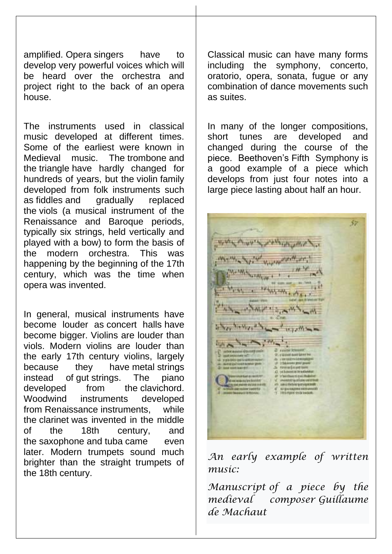amplified. [Opera](https://simple.wikipedia.org/wiki/Opera) singers have to develop very powerful voices which will be heard over the orchestra and project right to the back of an [opera](https://simple.wikipedia.org/wiki/Opera_house)  [house.](https://simple.wikipedia.org/wiki/Opera_house)

The instruments used in classical music developed at different times. Some of the earliest were known in Medieval music. The [trombone](https://simple.wikipedia.org/wiki/Trombone) and the [triangle](https://simple.wikipedia.org/wiki/Triangle_(instrument)) have hardly changed for hundreds of years, but the [violin](https://simple.wikipedia.org/wiki/Violin) family developed from folk instruments such as [fiddles](https://simple.wikipedia.org/wiki/Fiddle) and gradually replaced the [viols](https://simple.wikipedia.org/wiki/Viol) (a musical instrument of the Renaissance and Baroque periods, typically six strings, held vertically and played with a bow) to form the basis of the modern orchestra. This was happening by the beginning of the [17th](https://simple.wikipedia.org/wiki/17th_century)  [century,](https://simple.wikipedia.org/wiki/17th_century) which was the time when opera was invented.

In general, musical instruments have become louder as [concert halls](https://simple.wikipedia.org/wiki/Concert_hall) have become bigger. Violins are louder than viols. Modern violins are louder than the early 17th century violins, largely because they have [metal](https://simple.wikipedia.org/wiki/Metal) strings instead of [gut](https://simple.wikipedia.org/wiki/Gut) strings. The piano developed from the [clavichord.](https://simple.wikipedia.org/wiki/Clavichord) Woodwind instruments developed from [Renaissance](https://simple.wikipedia.org/wiki/Renaissance) instruments, while the [clarinet](https://simple.wikipedia.org/wiki/Clarinet) was invented in the middle of the 18th century, and the [saxophone](https://simple.wikipedia.org/wiki/Saxophone) and [tuba](https://simple.wikipedia.org/wiki/Tuba) came even later. Modern trumpets sound much brighter than the straight trumpets of the 18th century.

Classical music can have many forms including the symphony, concerto, oratorio, opera, sonata, fugue or any combination of dance movements such as suites.

In many of the longer compositions, short tunes are developed and changed during the course of the piece. Beethoven's [Fifth Symphony](https://simple.wikipedia.org/wiki/Symphony_no_5_(Beethoven)) is a good example of a piece which develops from just four notes into a large piece lasting about half an hour.

 $117700$ 

*An early example of written music:*

*[Manuscript](https://simple.wikipedia.org/wiki/Sheet_music) of a piece by the medieval composer [Guillaume](https://simple.wikipedia.org/wiki/Guillaume_de_Machaut)  [de Machaut](https://simple.wikipedia.org/wiki/Guillaume_de_Machaut)*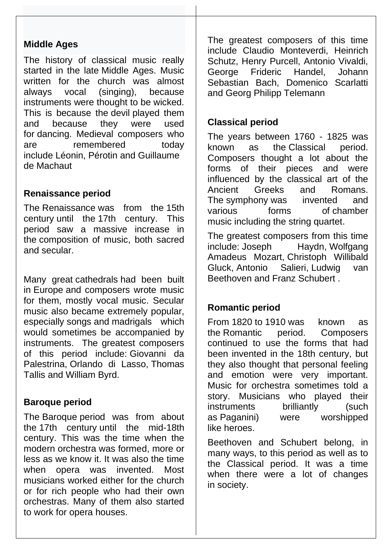#### **Middle Ages**

The history of classical music really started in the late [Middle Ages.](https://simple.wikipedia.org/wiki/Middle_Ages) Music written for the church was almost always vocal (singing), because instruments were thought to be wicked. This is because the [devil](https://simple.wikipedia.org/wiki/Devil) played them and because they were used for [dancing.](https://simple.wikipedia.org/wiki/Dancing) Medieval composers who are remembered today include [Léonin,](https://simple.wikipedia.org/wiki/L%C3%A9onin) [Pérotin](https://simple.wikipedia.org/wiki/P%C3%A9rotin) and [Guillaume](https://simple.wikipedia.org/wiki/Guillaume_de_Machaut)  [de Machaut](https://simple.wikipedia.org/wiki/Guillaume_de_Machaut)

#### **Renaissance period**

The [Renaissance](https://simple.wikipedia.org/wiki/Renaissance) was from the [15th](https://simple.wikipedia.org/wiki/15th_century)  [century](https://simple.wikipedia.org/wiki/15th_century) until the [17th century.](https://simple.wikipedia.org/wiki/17th_century) This period saw a massive increase in the [composition of music,](https://simple.wikipedia.org/wiki/Renaissance_music) both sacred and secular.

Many great [cathedrals](https://simple.wikipedia.org/wiki/Cathedral) had been built in [Europe](https://simple.wikipedia.org/wiki/Europe) and composers wrote music for them, mostly vocal music. Secular music also became extremely popular, especially [songs](https://simple.wikipedia.org/wiki/Song) and [madrigals](https://simple.wikipedia.org/wiki/Madrigal) which would sometimes be accompanied by instruments. The greatest composers of this period include: [Giovanni da](https://simple.wikipedia.org/wiki/Giovanni_da_Palestrina)  [Palestrina,](https://simple.wikipedia.org/wiki/Giovanni_da_Palestrina) [Orlando di Lasso,](https://simple.wikipedia.org/wiki/Orlando_di_Lasso) [Thomas](https://simple.wikipedia.org/wiki/Thomas_Tallis)  [Tallis](https://simple.wikipedia.org/wiki/Thomas_Tallis) and [William Byrd.](https://simple.wikipedia.org/wiki/William_Byrd)

#### **Baroque period**

The [Baroque](https://simple.wikipedia.org/wiki/Baroque_music) period was from about the [17th century](https://simple.wikipedia.org/wiki/17th_century) until the mid[-18th](https://simple.wikipedia.org/wiki/18th_century)  [century.](https://simple.wikipedia.org/wiki/18th_century) This was the time when the modern orchestra was formed, more or less as we know it. It was also the time when opera was invented. Most musicians worked either for the church or for rich people who had their own orchestras. Many of them also started to work for opera houses.

The greatest composers of this time include Claudio Monteverdi, Heinrich Schutz, Henry Purcell, Antonio Vivaldi, George Frideric Handel, Johann Sebastian Bach, Domenico Scarlatti and Georg Philipp Telemann

### **Classical period**

The years between 1760 - 1825 was known as the [Classical period.](https://simple.wikipedia.org/wiki/Classical_music_period) Composers thought a lot about the forms of their pieces and were influenced by the classical art of the Ancient Greeks and Romans. The [symphony](https://simple.wikipedia.org/wiki/Symphony) was invented and various forms of [chamber](https://simple.wikipedia.org/wiki/Chamber_music)  [music](https://simple.wikipedia.org/wiki/Chamber_music) including the [string quartet.](https://simple.wikipedia.org/wiki/String_quartet)

The greatest composers from this time<br>include: Joseph Haydn, Wolfgang Haydn, Wolfgang [Amadeus Mozart,](https://simple.wikipedia.org/wiki/Wolfgang_Amadeus_Mozart) [Christoph Willibald](https://simple.wikipedia.org/wiki/Christoph_Willibald_Gluck)  [Gluck,](https://simple.wikipedia.org/wiki/Christoph_Willibald_Gluck) [Antonio Salieri,](https://simple.wikipedia.org/wiki/Antonio_Salieri) [Ludwig van](https://simple.wikipedia.org/wiki/Ludwig_van_Beethoven)  [Beethoven](https://simple.wikipedia.org/wiki/Ludwig_van_Beethoven) and [Franz Schubert](https://simple.wikipedia.org/wiki/Franz_Schubert)

#### **Romantic period**

From [1820](https://simple.wikipedia.org/wiki/1820) to [1910](https://simple.wikipedia.org/wiki/1910) was known as the [Romantic period.](https://simple.wikipedia.org/wiki/Romantic_music) Composers continued to use the forms that had been invented in the 18th century, but they also thought that personal feeling and emotion were very important. Music for orchestra sometimes told a story. Musicians who played their instruments brilliantly (such as [Paganini\)](https://simple.wikipedia.org/wiki/Paganini) were worshipped like [heroes.](https://simple.wikipedia.org/wiki/Hero)

Beethoven and Schubert belong, in many ways, to this period as well as to the Classical period. It was a time when there were a lot of changes in [society.](https://simple.wikipedia.org/wiki/Society)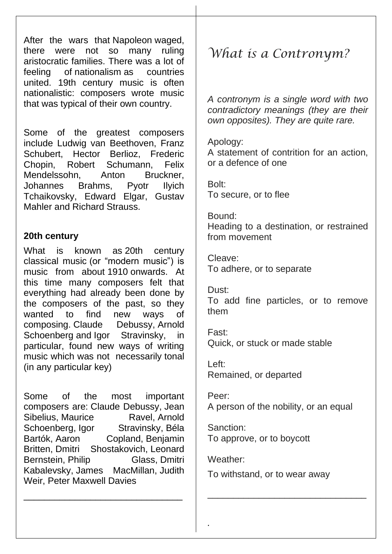After the wars that [Napoleon](https://simple.wikipedia.org/wiki/Napoleon) waged, there were not so many ruling aristocratic families. There was a lot of feeling of [nationalism](https://simple.wikipedia.org/wiki/Nationalism) as countries united. 19th century music is often nationalistic: composers wrote music that was typical of their own country.

Some of the greatest composers include Ludwig van Beethoven, Franz Schubert, Hector Berlioz, Frederic Chopin, Robert Schumann, Felix Mendelssohn, Anton Bruckner, Johannes Brahms, Pyotr Ilyich Tchaikovsky, Edward Elgar, Gustav Mahler and Richard Strauss.

#### **20th century**

What is known as [20th century](https://simple.wikipedia.org/wiki/20th_century_classical_music)  [classical music](https://simple.wikipedia.org/wiki/20th_century_classical_music) (or "modern music") is music from about [1910](https://simple.wikipedia.org/wiki/1910) onwards. At this time many composers felt that everything had already been done by the composers of the past, so they wanted to find new ways of composing. [Claude Debussy,](https://simple.wikipedia.org/wiki/Claude_Debussy) [Arnold](https://simple.wikipedia.org/wiki/Arnold_Schoenberg)  [Schoenberg](https://simple.wikipedia.org/wiki/Arnold_Schoenberg) and [Igor Stravinsky,](https://simple.wikipedia.org/wiki/Igor_Stravinsky) in particular, found new ways of writing music which was not necessarily [tonal](https://simple.wikipedia.org/wiki/Tonality)  (in any particular key)

Some of the most important composers are: [Claude Debussy,](https://simple.wikipedia.org/wiki/Claude_Debussy) [Jean](https://simple.wikipedia.org/wiki/Jean_Sibelius)  [Sibelius,](https://simple.wikipedia.org/wiki/Jean_Sibelius) [Maurice Ravel,](https://simple.wikipedia.org/wiki/Maurice_Ravel) Arnold [Schoenberg,](https://simple.wikipedia.org/wiki/Arnold_Schoenberg) [Igor Stravinsky,](https://simple.wikipedia.org/wiki/Igor_Stravinsky) Béla [Bartók,](https://simple.wikipedia.org/wiki/B%C3%A9la_Bart%C3%B3k) [Aaron Copland,](https://simple.wikipedia.org/wiki/Aaron_Copland) [Benjamin](https://simple.wikipedia.org/wiki/Benjamin_Britten)  [Britten,](https://simple.wikipedia.org/wiki/Benjamin_Britten) [Dmitri Shostakovich,](https://simple.wikipedia.org/wiki/Dmitri_Shostakovich) [Leonard](https://simple.wikipedia.org/wiki/Leonard_Bernstein)  [Bernstein,](https://simple.wikipedia.org/wiki/Leonard_Bernstein) [Philip Glass,](https://simple.wikipedia.org/wiki/Philip_Glass) Dmitri [Kabalevsky,](https://simple.wikipedia.org/wiki/Dmitri_Kabalevsky) [James MacMillan,](https://simple.wikipedia.org/wiki/James_MacMillan) [Judith](https://simple.wikipedia.org/wiki/Judith_Weir)  [Weir,](https://simple.wikipedia.org/wiki/Judith_Weir) [Peter Maxwell Davies](https://simple.wikipedia.org/wiki/Peter_Maxwell_Davies)

\_\_\_\_\_\_\_\_\_\_\_\_\_\_\_\_\_\_\_\_\_\_\_\_\_\_\_\_\_\_\_

# *What is a Contronym?*

*A contronym is a single word with two contradictory meanings (they are their own opposites). They are quite rare.*

#### Apology:

A statement of contrition for an action, or a defence of one

Bolt: To secure, or to flee

### Bound:

Heading to a destination, or restrained from movement

Cleave: To adhere, or to separate

#### Dust:

To add fine particles, or to remove them

Fast: Quick, or stuck or made stable

Left: Remained, or departed

Peer: A person of the nobility, or an equal

Sanction: To approve, or to boycott

Weather:

*.*

To withstand, or to wear away

\_\_\_\_\_\_\_\_\_\_\_\_\_\_\_\_\_\_\_\_\_\_\_\_\_\_\_\_\_\_\_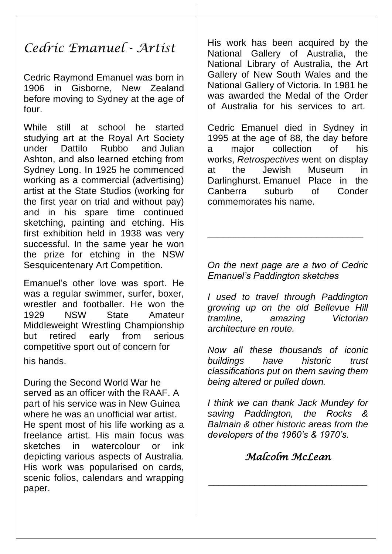# *Cedric Emanuel - Artist*

Cedric Raymond Emanuel was born in 1906 in Gisborne, New Zealand before moving to Sydney at the age of four.

While still at school he started studying art at the Royal Art Society under Dattilo Rubbo and Julian Ashton, and also learned etching from Sydney Long. In 1925 he commenced working as a commercial (advertising) artist at the State Studios (working for the first year on trial and without pay) and in his spare time continued sketching, painting and etching. His first exhibition held in 1938 was very successful. In the same year he won the prize for etching in the NSW Sesquicentenary Art Competition.

Emanuel's other love was sport. He was a regular swimmer, surfer, boxer, wrestler and footballer. He won the 1929 NSW State Amateur Middleweight Wrestling Championship but retired early from serious competitive sport out of concern for his hands.

During the Second World War he served as an officer with the RAAF. A part of his service was in New Guinea where he was an unofficial war artist. He spent most of his life working as a freelance artist. His main focus was sketches in watercolour or ink depicting various aspects of Australia. His work was popularised on cards, scenic folios, calendars and wrapping paper.

His work has been acquired by the National Gallery of Australia, the National Library of Australia, the Art Gallery of New South Wales and the National Gallery of Victoria. In 1981 he was awarded the Medal of the Order of Australia for his services to art.

Cedric Emanuel died in Sydney in 1995 at the age of 88, the day before a major collection of his works, *Retrospectives* went on display at the Jewish Museum in Darlinghurst. Emanuel Place in the Canberra suburb of Conder commemorates his name.

*On the next page are a two of Cedric Emanuel's Paddington sketches* 

\_\_\_\_\_\_\_\_\_\_\_\_\_\_\_\_\_\_\_\_\_\_\_\_\_\_\_\_\_\_

*I used to travel through Paddington growing up on the old Bellevue Hill tramline, amazing Victorian architecture en route.*

*Now all these thousands of iconic buildings have historic trust classifications put on them saving them being altered or pulled down.*

*I think we can thank Jack Mundey for saving Paddington, the Rocks & Balmain & other historic areas from the developers of the 1960's & 1970's.*

#### *Malcolm McLean*

\_\_\_\_\_\_\_\_\_\_\_\_\_\_\_\_\_\_\_\_\_\_\_\_\_\_\_\_\_\_\_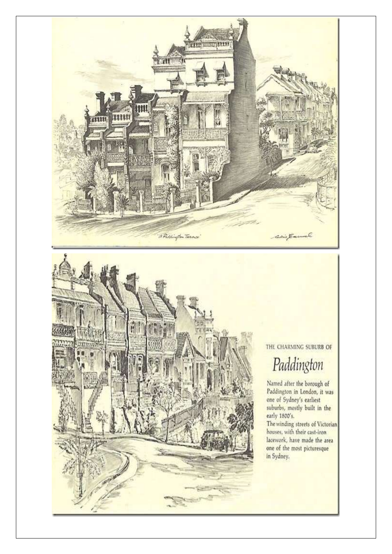



THE CHARMING SUBURB OF

# Paddington

Named after the borough of<br>Paddington in London, it was one of Sydney's earliest suburbs, mostly built in the

The winding streets of Victorian<br>houses, with their cast-iron lacework, have made the area one of the most picturesque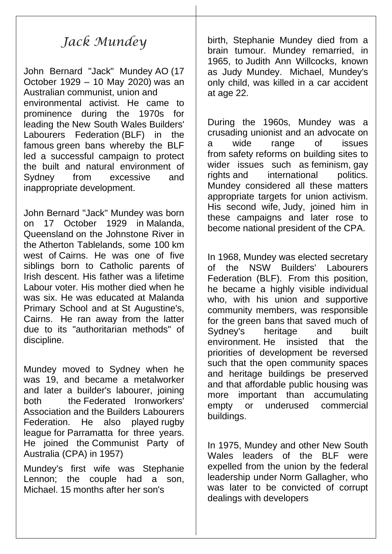# *Jack Mundey*

John Bernard "Jack" Mundey [AO](https://en.wikipedia.org/wiki/Officer_of_the_Order_of_Australia) (17 October 1929 – 10 May 2020) was an Australian [communist,](https://en.wikipedia.org/wiki/Communist_Party_of_Australia) [union](https://en.wikipedia.org/wiki/Labor_union) and environmental activist. He came to prominence during the 1970s for leading the [New South Wales](https://en.wikipedia.org/wiki/New_South_Wales) [Builders'](https://en.wikipedia.org/wiki/Builders%27_Labourers_Federation)  [Labourers Federation](https://en.wikipedia.org/wiki/Builders%27_Labourers_Federation) (BLF) in the famous [green bans](https://en.wikipedia.org/wiki/Green_ban) whereby the BLF led a successful campaign to protect the built and natural environment of Sydney from excessive and inappropriate development.

John Bernard "Jack" Mundey was born on 17 October 1929 in [Malanda,](https://en.wikipedia.org/wiki/Malanda,_Queensland)  [Queensland](https://en.wikipedia.org/wiki/Malanda,_Queensland) on the Johnstone River in the [Atherton Tablelands,](https://en.wikipedia.org/wiki/Atherton_Tableland) some 100 km west of [Cairns.](https://en.wikipedia.org/wiki/Cairns) He was one of five siblings born to Catholic parents of Irish descent. His father was a lifetime Labour voter. His mother died when he was six. He was educated at Malanda Primary School and at [St Augustine's,](https://en.wikipedia.org/wiki/St_Augustine%27s_College_(Queensland))  [Cairns.](https://en.wikipedia.org/wiki/St_Augustine%27s_College_(Queensland)) He ran away from the latter due to its "authoritarian methods" of discipline.

Mundey moved to Sydney when he was 19, and became a metalworker and later a builder's labourer, joining both the [Federated Ironworkers'](https://en.wikipedia.org/wiki/Federated_Ironworkers%27_Association)  [Association](https://en.wikipedia.org/wiki/Federated_Ironworkers%27_Association) and the [Builders Labourers](https://en.wikipedia.org/wiki/Builders_Labourers_Federation)  [Federation.](https://en.wikipedia.org/wiki/Builders_Labourers_Federation) He also played [rugby](https://en.wikipedia.org/wiki/Rugby_league)  [league](https://en.wikipedia.org/wiki/Rugby_league) for [Parramatta](https://en.wikipedia.org/wiki/Parramatta_Eels) for three years. He joined the [Communist Party of](https://en.wikipedia.org/wiki/Communist_Party_of_Australia)  [Australia](https://en.wikipedia.org/wiki/Communist_Party_of_Australia) (CPA) in 1957)

Mundey's first wife was Stephanie Lennon; the couple had a son, Michael. 15 months after her son's

birth, Stephanie Mundey died from a brain tumour. Mundey remarried, in 1965, to [Judith Ann Willcocks, known](https://en.wikipedia.org/wiki/Judy_Mundey)  [as Judy Mundey.](https://en.wikipedia.org/wiki/Judy_Mundey) Michael, Mundey's only child, was killed in a car accident at age 22.

During the 1960s, Mundey was a crusading unionist and an advocate on a wide range of issues from [safety](https://en.wikipedia.org/wiki/Safety) reforms on building sites to wider issues such as [feminism,](https://en.wikipedia.org/wiki/Feminism) [gay](https://en.wikipedia.org/wiki/Gay_rights)  [rights](https://en.wikipedia.org/wiki/Gay_rights) and international politics. Mundey considered all these matters appropriate targets for union activism. His second wife, [Judy,](https://en.wikipedia.org/wiki/Judy_Mundey) joined him in these campaigns and later rose to become national president of the CPA.

In 1968, Mundey was elected secretary of the NSW Builders' Labourers Federation (BLF). From this position, he became a highly visible individual who, with his union and supportive community members, was responsible for the [green bans](https://en.wikipedia.org/wiki/Green_ban) that saved much of Sydney's heritage and built environment. He insisted that the priorities of development be reversed such that the open community spaces and heritage buildings be preserved and that affordable public housing was more important than accumulating empty or underused commercial buildings.

In 1975, Mundey and other New South Wales leaders of the BLF were expelled from the union by the federal leadership under [Norm Gallagher,](https://en.wikipedia.org/wiki/Norm_Gallagher) who was later to be convicted of corrupt dealings with developers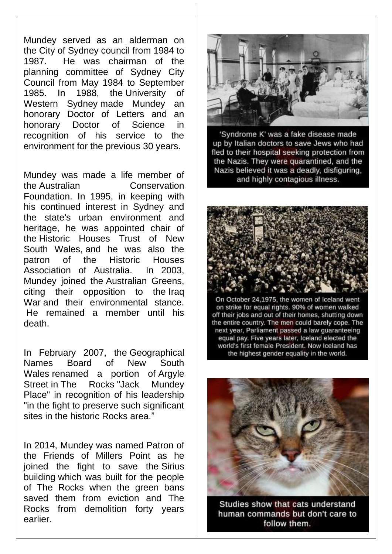Mundey served as an alderman on the [City of Sydney](https://en.wikipedia.org/wiki/City_of_Sydney) council from 1984 to 1987. He was chairman of the planning committee of Sydney City Council from May 1984 to September 1985. In 1988, the [University of](https://en.wikipedia.org/wiki/University_of_Western_Sydney)  [Western Sydney](https://en.wikipedia.org/wiki/University_of_Western_Sydney) made Mundey an honorary Doctor of Letters and an honorary Doctor of Science in recognition of his service to the environment for the previous 30 years.

Mundey was made a life member of the [Australian Conservation](https://en.wikipedia.org/wiki/Australian_Conservation_Foundation)  [Foundation.](https://en.wikipedia.org/wiki/Australian_Conservation_Foundation) In 1995, in keeping with his continued interest in Sydney and the state's urban environment and heritage, he was appointed chair of the [Historic Houses Trust of New](https://en.wikipedia.org/wiki/Historic_Houses_Trust_of_New_South_Wales)  [South Wales,](https://en.wikipedia.org/wiki/Historic_Houses_Trust_of_New_South_Wales) and he was also the patron of the Historic Houses Association of Australia. In 2003, Mundey joined the [Australian Greens,](https://en.wikipedia.org/wiki/Australian_Greens) citing their opposition to the [Iraq](https://en.wikipedia.org/wiki/Iraq_War)  [War](https://en.wikipedia.org/wiki/Iraq_War) and their environmental stance. He remained a member until his death.

In February 2007, the [Geographical](https://en.wikipedia.org/wiki/Geographical_Names_Board_of_New_South_Wales)  [Names Board of New South](https://en.wikipedia.org/wiki/Geographical_Names_Board_of_New_South_Wales)  [Wales](https://en.wikipedia.org/wiki/Geographical_Names_Board_of_New_South_Wales) renamed a portion of [Argyle](https://en.wikipedia.org/w/index.php?title=Argyle_Street,_Sydney&action=edit&redlink=1)  [Street](https://en.wikipedia.org/w/index.php?title=Argyle_Street,_Sydney&action=edit&redlink=1) in [The Rocks](https://en.wikipedia.org/wiki/The_Rocks,_New_South_Wales) "Jack Mundey Place" in recognition of his leadership "in the fight to preserve such significant sites in the historic Rocks area."

In 2014, Mundey was named Patron of the Friends of Millers Point as he joined the fight to save the [Sirius](https://en.wikipedia.org/wiki/Sirius_building)  [building](https://en.wikipedia.org/wiki/Sirius_building) which was built for the people of The Rocks when the green bans saved them from eviction and The Rocks from demolition forty years earlier.



'Syndrome K' was a fake disease made up by Italian doctors to save Jews who had fled to their hospital seeking protection from the Nazis. They were quarantined, and the Nazis believed it was a deadly, disfiguring, and highly contagious illness.



On October 24,1975, the women of Iceland went on strike for equal rights. 90% of women walked off their jobs and out of their homes, shutting down the entire country. The men could barely cope. The next year, Parliament passed a law quaranteeing equal pay. Five years later, Iceland elected the world's first female President. Now Iceland has the highest gender equality in the world.



Studies show that cats understand human commands but don't care to follow them.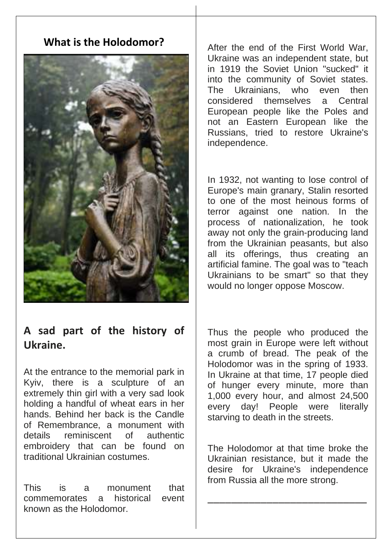## **What is the Holodomor?**



## **A sad part of the history of Ukraine.**

At the entrance to the memorial park in Kyiv, there is a sculpture of an extremely thin girl with a very sad look holding a handful of wheat ears in her hands. Behind her back is the Candle of Remembrance, a monument with details reminiscent of authentic embroidery that can be found on traditional Ukrainian costumes.

This is a monument that commemorates a historical event known as the Holodomor.

After the end of the First World War, Ukraine was an independent state, but in 1919 the Soviet Union "sucked" it into the community of Soviet states. The Ukrainians, who even then considered themselves a Central European people like the Poles and not an Eastern European like the Russians, tried to restore Ukraine's independence.

In 1932, not wanting to lose control of Europe's main granary, Stalin resorted to one of the most heinous forms of terror against one nation. In the process of nationalization, he took away not only the grain-producing land from the Ukrainian peasants, but also all its offerings, thus creating an artificial famine. The goal was to "teach Ukrainians to be smart" so that they would no longer oppose Moscow.

Thus the people who produced the most grain in Europe were left without a crumb of bread. The peak of the Holodomor was in the spring of 1933. In Ukraine at that time, 17 people died of hunger every minute, more than 1,000 every hour, and almost 24,500 every day! People were literally starving to death in the streets.

The Holodomor at that time broke the Ukrainian resistance, but it made the desire for Ukraine's independence from Russia all the more strong.

\_\_\_\_\_\_\_\_\_\_\_\_\_\_\_\_\_\_\_\_\_\_\_\_\_\_\_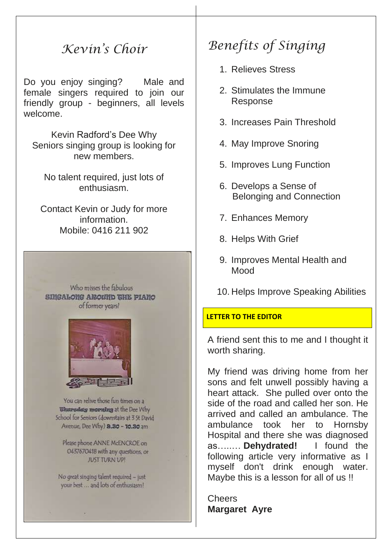## *Kevin's Choir*

Do you enjoy singing? Male and female singers required to join our friendly group - beginners, all levels welcome.

Kevin Radford's Dee Why Seniors singing group is looking for new members.

No talent required, just lots of enthusiasm.

Contact Kevin or Judy for more information. Mobile: 0416 211 902

Who misses the fabulous **SIMGALONG AROUND THE PIANO** of former years?



You can relive those fun times on a **Chargeday morning at the Dee Why** School for Seniors (downstairs at 3 St David Avenue, Dee Why) 8.30 - 10.30 am

Please phone ANNE McENCROE on 0437670418 with any questions, or JUST TURN UP!

No great singing talent required - just your best ... and lots of enthusiasm!

# *Benefits of Singing*

- 1. Relieves Stress
- 2. Stimulates the Immune Response
- 3. Increases Pain Threshold
- 4. May Improve Snoring
- 5. Improves Lung Function
- 6. Develops a Sense of Belonging and Connection
- 7. Enhances Memory
- 8. Helps With Grief
- 9. Improves Mental Health and Mood
- 10. Helps Improve Speaking Abilities

#### **LETTER TO THE EDITOR**

A friend sent this to me and I thought it worth sharing.

My friend was driving home from her sons and felt unwell possibly having a heart attack. She pulled over onto the side of the road and called her son. He arrived and called an ambulance. The ambulance took her to Hornsby Hospital and there she was diagnosed as…..… **Dehydrated!** I found the following article very informative as I myself don't drink enough water. Maybe this is a lesson for all of us !!

Cheers **Margaret Ayre**